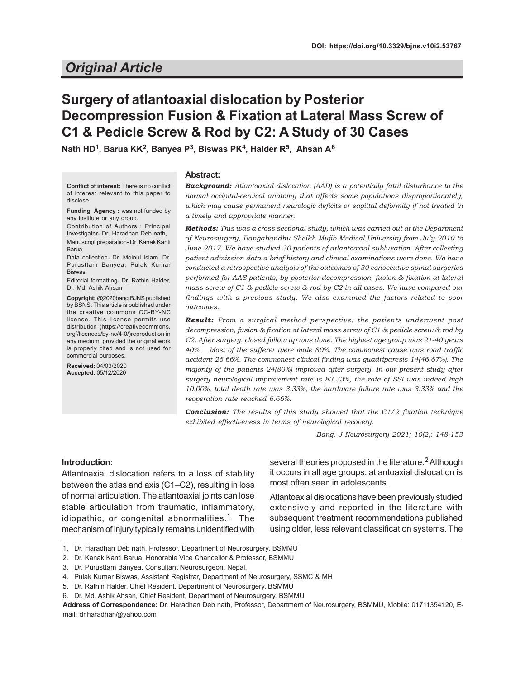# *Original Article*

# **Surgery of atlantoaxial dislocation by Posterior Decompression Fusion & Fixation at Lateral Mass Screw of C1 & Pedicle Screw & Rod by C2: A Study of 30 Cases**

**Nath HD<sup>1</sup> , Barua KK<sup>2</sup> , Banyea P<sup>3</sup> , Biswas PK<sup>4</sup> , Halder R<sup>5</sup> , Ahsan A<sup>6</sup>**

**Conflict of interest:** There is no conflict of interest relevant to this paper to disclose.

**Funding Agency :** was not funded by any institute or any group.

Contribution of Authors : Principal Investigator- Dr. Haradhan Deb nath, Manuscript preparation- Dr. Kanak Kanti Barua

Data collection- Dr. Moinul Islam, Dr. Purusttam Banyea, Pulak Kumar **Biswas** 

Editorial formatting- Dr. Rathin Halder, Dr. Md. Ashik Ahsan

**Copyright:** @2020bang.BJNS published by BSNS. This article is published under the creative commons CC-BY-NC license. This license permits use distribution (https://creativecommons. orgf/licences/by-nc/4-0/)reproduction in any medium, provided the original work is properly cited and is not used for commercial purposes.

**Received:** 04/03/2020 **Accepted:** 05/12/2020

#### **Abstract:**

| <b>Background:</b> Atlantoaxial dislocation (AAD) is a potentially fatal disturbance to the |
|---------------------------------------------------------------------------------------------|
| normal occipital-cervical anatomy that affects some populations disproportionately,         |
| which may cause permanent neurologic deficits or sagittal deformity if not treated in       |
| a timely and appropriate manner.                                                            |

*Methods: This was a cross sectional study, which was carried out at the Department of Neurosurgery, Bangabandhu Sheikh Mujib Medical University from July 2010 to June 2017. We have studied 30 patients of atlantoaxial subluxation. After collecting patient admission data a brief history and clinical examinations were done. We have conducted a retrospective analysis of the outcomes of 30 consecutive spinal surgeries performed for AAS patients, by posterior decompression, fusion & fixation at lateral mass screw of C1 & pedicle screw & rod by C2 in all cases. We have compared our findings with a previous study. We also examined the factors related to poor outcomes.*

*Result: From a surgical method perspective, the patients underwent post decompression, fusion & fixation at lateral mass screw of C1 & pedicle screw & rod by C2. After surgery, closed follow up was done. The highest age group was 21-40 years 40%. Most of the sufferer were male 80%. The commonest cause was road traffic accident 26.66%. The commonest clinical finding was quadriparesis 14(46.67%). The majority of the patients 24(80%) improved after surgery. In our present study after surgery neurological improvement rate is 83.33%, the rate of SSI was indeed high 10.00%, total death rate was 3.33%, the hardware failure rate was 3.33% and the reoperation rate reached 6.66%.*

*Conclusion: The results of this study showed that the C1/2 fixation technique exhibited effectiveness in terms of neurological recovery.*

*Bang. J Neurosurgery 2021; 10(2): 148-153*

# **Introduction:**

Atlantoaxial dislocation refers to a loss of stability between the atlas and axis (C1–C2), resulting in loss of normal articulation. The atlantoaxial joints can lose stable articulation from traumatic, inflammatory, idiopathic, or congenital abnormalities.<sup>1</sup> The mechanism of injury typically remains unidentified with several theories proposed in the literature.<sup>2</sup> Although it occurs in all age groups, atlantoaxial dislocation is most often seen in adolescents.

Atlantoaxial dislocations have been previously studied extensively and reported in the literature with subsequent treatment recommendations published using older, less relevant classification systems. The

**Address of Correspondence:** Dr. Haradhan Deb nath, Professor, Department of Neurosurgery, BSMMU, Mobile: 01711354120, Email: dr.haradhan@yahoo.com

<sup>1.</sup> Dr. Haradhan Deb nath, Professor, Department of Neurosurgery, BSMMU

<sup>2.</sup> Dr. Kanak Kanti Barua, Honorable Vice Chancellor & Professor, BSMMU

<sup>3.</sup> Dr. Purusttam Banyea, Consultant Neurosurgeon, Nepal.

<sup>4.</sup> Pulak Kumar Biswas, Assistant Registrar, Department of Neurosurgery, SSMC & MH

<sup>5.</sup> Dr. Rathin Halder, Chief Resident, Department of Neurosurgery, BSMMU

<sup>6.</sup> Dr. Md. Ashik Ahsan, Chief Resident, Department of Neurosurgery, BSMMU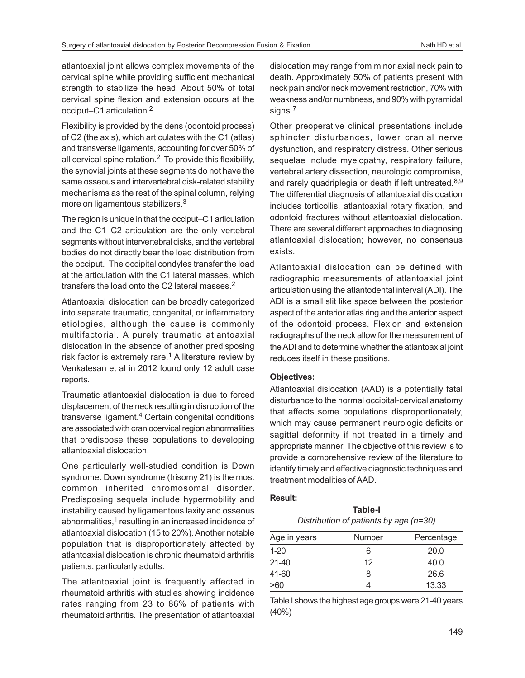atlantoaxial joint allows complex movements of the cervical spine while providing sufficient mechanical strength to stabilize the head. About 50% of total cervical spine flexion and extension occurs at the occiput–C1 articulation.<sup>2</sup>

Flexibility is provided by the dens (odontoid process) of C2 (the axis), which articulates with the C1 (atlas) and transverse ligaments, accounting for over 50% of all cervical spine rotation. $<sup>2</sup>$  To provide this flexibility,</sup> the synovial joints at these segments do not have the same osseous and intervertebral disk-related stability mechanisms as the rest of the spinal column, relying more on ligamentous stabilizers.<sup>3</sup>

The region is unique in that the occiput–C1 articulation and the C1–C2 articulation are the only vertebral segments without intervertebral disks, and the vertebral bodies do not directly bear the load distribution from the occiput. The occipital condyles transfer the load at the articulation with the C1 lateral masses, which transfers the load onto the C2 lateral masses.<sup>2</sup>

Atlantoaxial dislocation can be broadly categorized into separate traumatic, congenital, or inflammatory etiologies, although the cause is commonly multifactorial. A purely traumatic atlantoaxial dislocation in the absence of another predisposing risk factor is extremely rare.<sup>1</sup> A literature review by Venkatesan et al in 2012 found only 12 adult case reports.

Traumatic atlantoaxial dislocation is due to forced displacement of the neck resulting in disruption of the transverse ligament.<sup>4</sup> Certain congenital conditions are associated with craniocervical region abnormalities that predispose these populations to developing atlantoaxial dislocation.

One particularly well-studied condition is Down syndrome. Down syndrome (trisomy 21) is the most common inherited chromosomal disorder. Predisposing sequela include hypermobility and instability caused by ligamentous laxity and osseous abnormalities,<sup>1</sup> resulting in an increased incidence of atlantoaxial dislocation (15 to 20%). Another notable population that is disproportionately affected by atlantoaxial dislocation is chronic rheumatoid arthritis patients, particularly adults.

The atlantoaxial joint is frequently affected in rheumatoid arthritis with studies showing incidence rates ranging from 23 to 86% of patients with rheumatoid arthritis. The presentation of atlantoaxial dislocation may range from minor axial neck pain to death. Approximately 50% of patients present with neck pain and/or neck movement restriction, 70% with weakness and/or numbness, and 90% with pyramidal signs.<sup>7</sup>

Other preoperative clinical presentations include sphincter disturbances, lower cranial nerve dysfunction, and respiratory distress. Other serious sequelae include myelopathy, respiratory failure, vertebral artery dissection, neurologic compromise, and rarely quadriplegia or death if left untreated.<sup>8,9</sup> The differential diagnosis of atlantoaxial dislocation includes torticollis, atlantoaxial rotary fixation, and odontoid fractures without atlantoaxial dislocation. There are several different approaches to diagnosing atlantoaxial dislocation; however, no consensus exists.

Atlantoaxial dislocation can be defined with radiographic measurements of atlantoaxial joint articulation using the atlantodental interval (ADI). The ADI is a small slit like space between the posterior aspect of the anterior atlas ring and the anterior aspect of the odontoid process. Flexion and extension radiographs of the neck allow for the measurement of the ADI and to determine whether the atlantoaxial joint reduces itself in these positions.

# **Objectives:**

Atlantoaxial dislocation (AAD) is a potentially fatal disturbance to the normal occipital-cervical anatomy that affects some populations disproportionately, which may cause permanent neurologic deficits or sagittal deformity if not treated in a timely and appropriate manner. The objective of this review is to provide a comprehensive review of the literature to identify timely and effective diagnostic techniques and treatment modalities of AAD.

## **Result:**

| Table-I                                  |  |
|------------------------------------------|--|
| Distribution of patients by age $(n=30)$ |  |

| Age in years | <b>Number</b> | Percentage |
|--------------|---------------|------------|
| $1 - 20$     | 6             | 20.0       |
| $21 - 40$    | 12            | 40.0       |
| 41-60        | 8             | 26.6       |
| >60          |               | 13.33      |

Table I shows the highest age groups were 21-40 years (40%)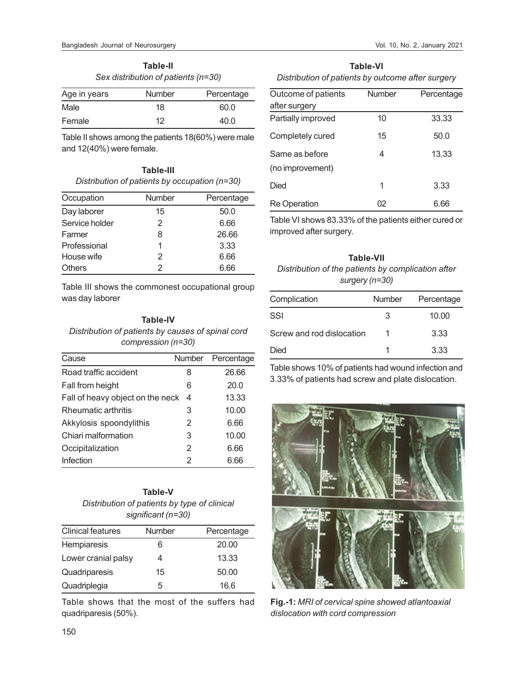**Table-II** *Sex distribution of patients (n=30)*

| Age in years | <b>Number</b> | Percentage |
|--------------|---------------|------------|
| Male         | 18            | 60.0       |
| Female       | 12            | 40.O       |

Table II shows among the patients 18(60%) were male and 12(40%) were female.

| Table-III                                       |
|-------------------------------------------------|
| Distribution of patients by occupation $(n=30)$ |

| Occupation     | Number | Percentage |
|----------------|--------|------------|
| Day laborer    | 15     | 50.0       |
| Service holder | 2      | 6.66       |
| Farmer         | 8      | 26.66      |
| Professional   | 1      | 3.33       |
| House wife     | 2      | 6.66       |
| <b>Others</b>  | 2      | 6.66       |

Table III shows the commonest occupational group was day laborer

# **Table-IV**

*Distribution of patients by causes of spinal cord compression (n=30)*

| Cause                            |   | Number Percentage |
|----------------------------------|---|-------------------|
| Road traffic accident            | 8 | 26.66             |
| Fall from height                 | 6 | 20.0              |
| Fall of heavy object on the neck | 4 | 13.33             |
| Rheumatic arthritis              | 3 | 10.00             |
| Akkylosis spoondylithis          | 2 | 6.66              |
| Chiari malformation              | 3 | 10.00             |
| Occipitalization                 | 2 | 6.66              |
| Infection                        | 2 | 6.66              |

| Table-V                                      |  |  |
|----------------------------------------------|--|--|
| Distribution of patients by type of clinical |  |  |
| significant (n=30)                           |  |  |

| <b>Clinical features</b> | <b>Number</b> | Percentage |
|--------------------------|---------------|------------|
| Hempiaresis              | 6             | 20.00      |
| Lower cranial palsy      | 4             | 13.33      |
| Quadriparesis            | 15            | 50.00      |
| Quadriplegia             | 5             | 16.6       |

Table shows that the most of the suffers had quadriparesis (50%).

| Table-VI                                          |
|---------------------------------------------------|
| Distribution of patients by outcome after surgery |

| Outcome of patients | Number | Percentage |
|---------------------|--------|------------|
| after surgery       |        |            |
| Partially improved  | 10     | 33.33      |
| Completely cured    | 15     | 50.0       |
| Same as before      | 4      | 13.33      |
| (no improvement)    |        |            |
| Died                | 1      | 3.33       |
| <b>Re Operation</b> | 02     | 6.66       |

Table VI shows 83.33% of the patients either cured or improved after surgery.

## **Table-VII**

*Distribution of the patients by complication after surgery (n=30)*

| Complication              | Number | Percentage |
|---------------------------|--------|------------|
| SSI                       | 3      | 10.00      |
| Screw and rod dislocation |        | 3.33       |
| Died                      |        | 3.33       |

Table shows 10% of patients had wound infection and 3.33% of patients had screw and plate dislocation.



**Fig.-1:** *MRI of cervical spine showed atlantoaxial dislocation with cord compression*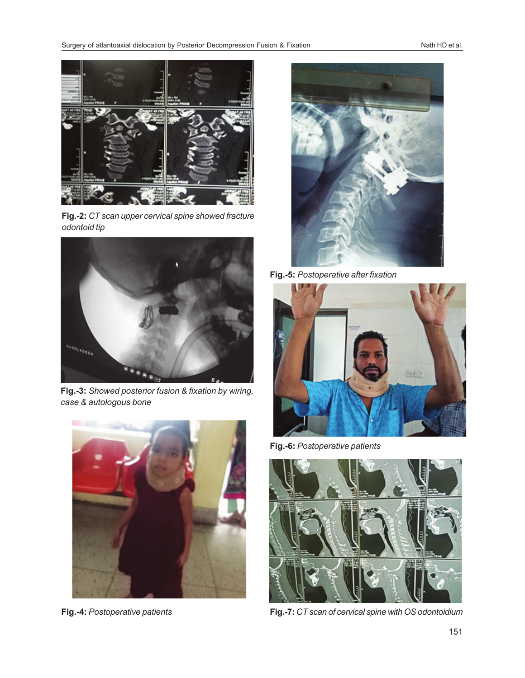

**Fig.-2:** *CT scan upper cervical spine showed fracture odontoid tip*



**Fig.-3:** *Showed posterior fusion & fixation by wiring, case & autologous bone*



**Fig.-4:** *Postoperative patients*



**Fig.-5:** *Postoperative after fixation*



**Fig.-6:** *Postoperative patients*



**Fig.-7:** *CT scan of cervical spine with OS odontoidium*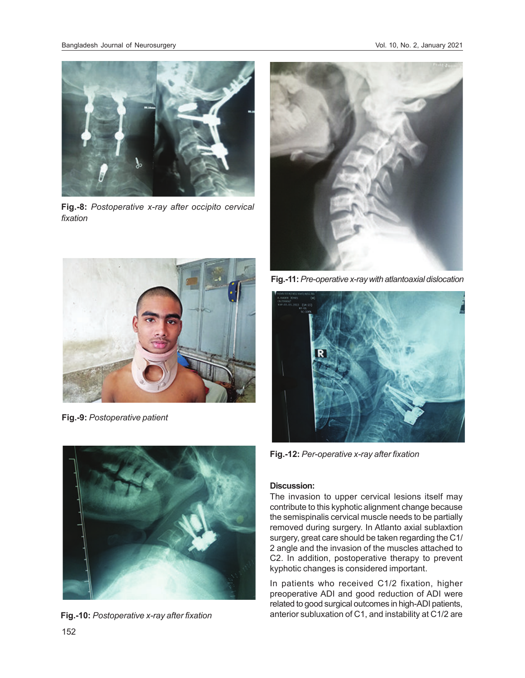

**Fig.-8:** *Postoperative x-ray after occipito cervical fixation*



**Fig.-9:** *Postoperative patient*



**Fig.-10:** *Postoperative x-ray after fixation*



**Fig.-11:** *Pre-operative x-ray with atlantoaxial dislocation*



**Fig.-12:** *Per-operative x-ray after fixation*

## **Discussion:**

The invasion to upper cervical lesions itself may contribute to this kyphotic alignment change because the semispinalis cervical muscle needs to be partially removed during surgery. In Atlanto axial sublaxtion surgery, great care should be taken regarding the C1/ 2 angle and the invasion of the muscles attached to C2. In addition, postoperative therapy to prevent kyphotic changes is considered important.

In patients who received C1/2 fixation, higher preoperative ADI and good reduction of ADI were related to good surgical outcomes in high-ADI patients, anterior subluxation of C1, and instability at C1/2 are